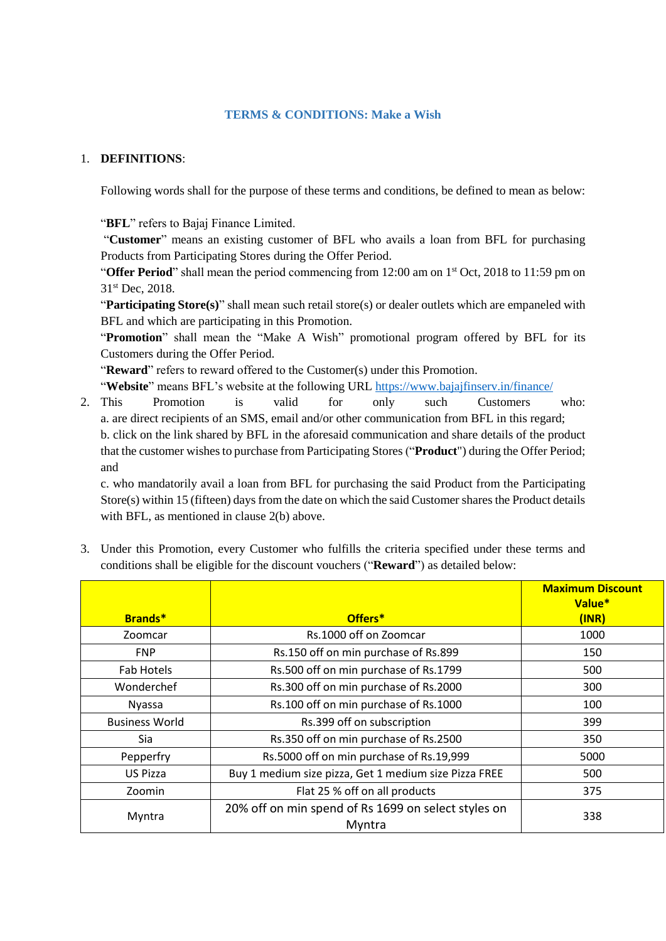## **TERMS & CONDITIONS: Make a Wish**

## 1. **DEFINITIONS**:

Following words shall for the purpose of these terms and conditions, be defined to mean as below:

"**BFL**" refers to Bajaj Finance Limited.

"**Customer**" means an existing customer of BFL who avails a loan from BFL for purchasing Products from Participating Stores during the Offer Period.

"Offer Period" shall mean the period commencing from 12:00 am on 1<sup>st</sup> Oct, 2018 to 11:59 pm on 31<sup>st</sup> Dec, 2018.

"**Participating Store(s)**" shall mean such retail store(s) or dealer outlets which are empaneled with BFL and which are participating in this Promotion.

"**Promotion**" shall mean the "Make A Wish" promotional program offered by BFL for its Customers during the Offer Period.

"**Reward**" refers to reward offered to the Customer(s) under this Promotion.

"**Website**" means BFL's website at the following URL <https://www.bajajfinserv.in/finance/>

2. This Promotion is valid for only such Customers who: a. are direct recipients of an SMS, email and/or other communication from BFL in this regard; b. click on the link shared by BFL in the aforesaid communication and share details of the product that the customer wishes to purchase from Participating Stores ("**Product**") during the Offer Period; and

c. who mandatorily avail a loan from BFL for purchasing the said Product from the Participating Store(s) within 15 (fifteen) days from the date on which the said Customer shares the Product details with BFL, as mentioned in clause 2(b) above.

3. Under this Promotion, every Customer who fulfills the criteria specified under these terms and conditions shall be eligible for the discount vouchers ("**Reward**") as detailed below:

| <b>Brands*</b>        | Offers*                                                       | <b>Maximum Discount</b><br>Value*<br>(INR) |
|-----------------------|---------------------------------------------------------------|--------------------------------------------|
| Zoomcar               | Rs.1000 off on Zoomcar                                        | 1000                                       |
| <b>FNP</b>            | Rs.150 off on min purchase of Rs.899                          | 150                                        |
| Fab Hotels            | Rs.500 off on min purchase of Rs.1799                         | 500                                        |
| Wonderchef            | Rs.300 off on min purchase of Rs.2000                         | 300                                        |
| <b>Nyassa</b>         | Rs.100 off on min purchase of Rs.1000                         | 100                                        |
| <b>Business World</b> | Rs.399 off on subscription                                    | 399                                        |
| Sia                   | Rs.350 off on min purchase of Rs.2500                         | 350                                        |
| Pepperfry             | Rs.5000 off on min purchase of Rs.19,999                      | 5000                                       |
| US Pizza              | Buy 1 medium size pizza, Get 1 medium size Pizza FREE         | 500                                        |
| Zoomin                | Flat 25 % off on all products                                 | 375                                        |
| Myntra                | 20% off on min spend of Rs 1699 on select styles on<br>Myntra | 338                                        |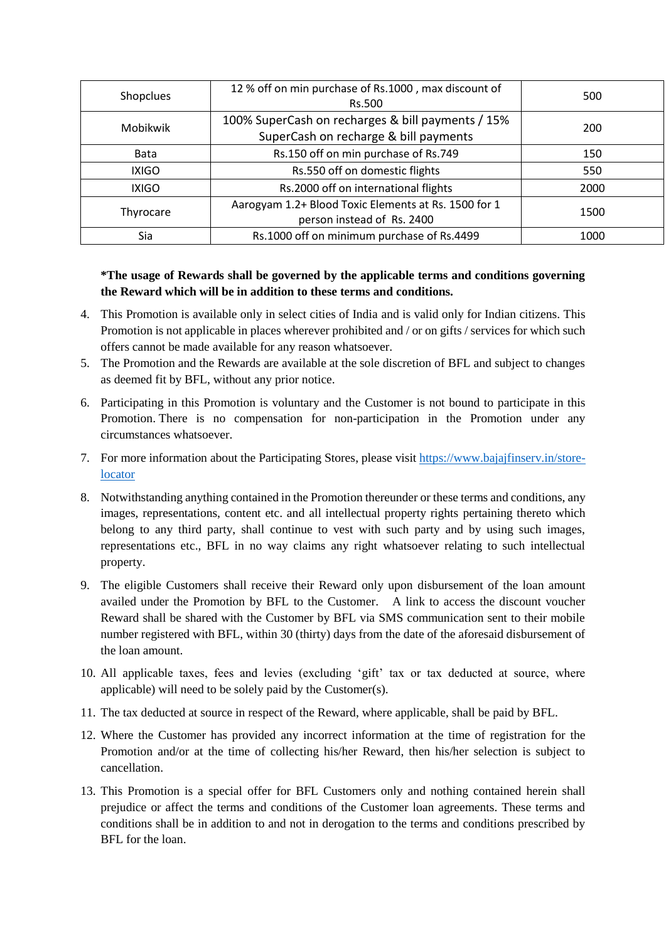| Shopclues    | 12 % off on min purchase of Rs.1000, max discount of<br>Rs.500                             | 500  |
|--------------|--------------------------------------------------------------------------------------------|------|
| Mobikwik     | 100% SuperCash on recharges & bill payments / 15%<br>SuperCash on recharge & bill payments | 200  |
| <b>Bata</b>  | Rs.150 off on min purchase of Rs.749                                                       | 150  |
| <b>IXIGO</b> | Rs.550 off on domestic flights                                                             | 550  |
| <b>IXIGO</b> | Rs.2000 off on international flights                                                       | 2000 |
| Thyrocare    | Aarogyam 1.2+ Blood Toxic Elements at Rs. 1500 for 1<br>person instead of Rs. 2400         | 1500 |
| Sia          | Rs.1000 off on minimum purchase of Rs.4499                                                 | 1000 |

## **\*The usage of Rewards shall be governed by the applicable terms and conditions governing the Reward which will be in addition to these terms and conditions.**

- 4. This Promotion is available only in select cities of India and is valid only for Indian citizens. This Promotion is not applicable in places wherever prohibited and / or on gifts / services for which such offers cannot be made available for any reason whatsoever.
- 5. The Promotion and the Rewards are available at the sole discretion of BFL and subject to changes as deemed fit by BFL, without any prior notice.
- 6. Participating in this Promotion is voluntary and the Customer is not bound to participate in this Promotion. There is no compensation for non-participation in the Promotion under any circumstances whatsoever.
- 7. For more information about the Participating Stores, please visit [https://www.bajajfinserv.in/store](https://www.bajajfinserv.in/store-locator)[locator](https://www.bajajfinserv.in/store-locator)
- 8. Notwithstanding anything contained in the Promotion thereunder or these terms and conditions, any images, representations, content etc. and all intellectual property rights pertaining thereto which belong to any third party, shall continue to vest with such party and by using such images, representations etc., BFL in no way claims any right whatsoever relating to such intellectual property.
- 9. The eligible Customers shall receive their Reward only upon disbursement of the loan amount availed under the Promotion by BFL to the Customer. A link to access the discount voucher Reward shall be shared with the Customer by BFL via SMS communication sent to their mobile number registered with BFL, within 30 (thirty) days from the date of the aforesaid disbursement of the loan amount.
- 10. All applicable taxes, fees and levies (excluding 'gift' tax or tax deducted at source, where applicable) will need to be solely paid by the Customer(s).
- 11. The tax deducted at source in respect of the Reward, where applicable, shall be paid by BFL.
- 12. Where the Customer has provided any incorrect information at the time of registration for the Promotion and/or at the time of collecting his/her Reward, then his/her selection is subject to cancellation.
- 13. This Promotion is a special offer for BFL Customers only and nothing contained herein shall prejudice or affect the terms and conditions of the Customer loan agreements. These terms and conditions shall be in addition to and not in derogation to the terms and conditions prescribed by BFL for the loan.